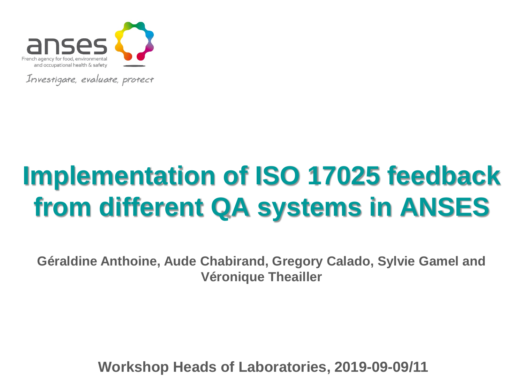

Investigate, evaluate, protect

# **Implementation of ISO 17025 feedback from different QA systems in ANSES**

**Géraldine Anthoine, Aude Chabirand, Gregory Calado, Sylvie Gamel and Véronique Theailler**

**Workshop Heads of Laboratories, 2019-09-09/11**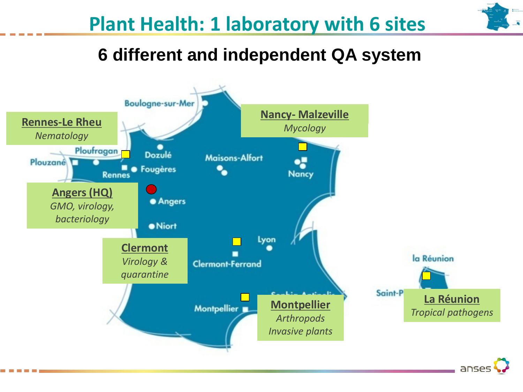

#### **Plant Health: 1 laboratory with 6 sites**

**6 different and independent QA system**

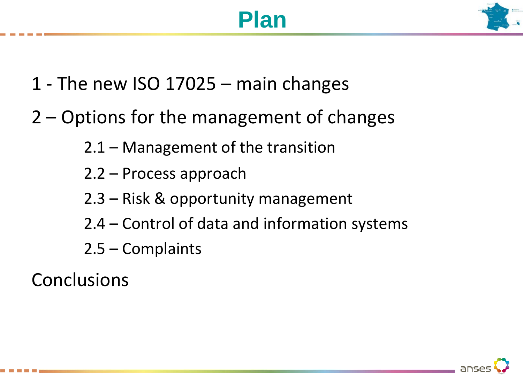### **Plan**



- 1 The new ISO 17025 main changes
- 2 Options for the management of changes
	- 2.1 Management of the transition
	- 2.2 Process approach
	- 2.3 Risk & opportunity management
	- 2.4 Control of data and information systems
	- 2.5 Complaints

**Conclusions** 

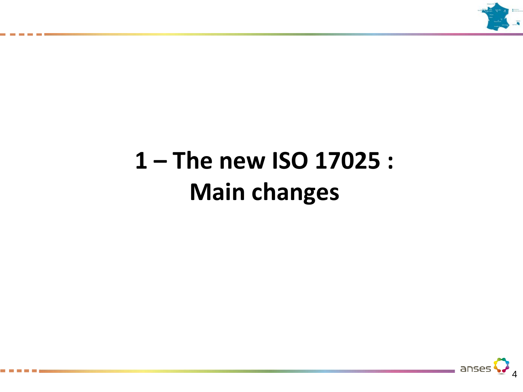

# **1 – The new ISO 17025 : Main changes**

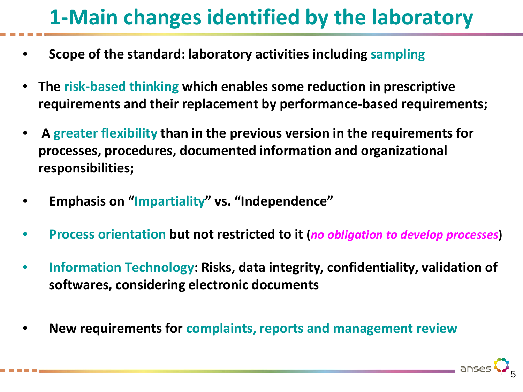### **1-Main changes identified by the laboratory**

- **Scope of the standard: laboratory activities including sampling**
- **The risk-based thinking which enables some reduction in prescriptive requirements and their replacement by performance-based requirements;**
- **A greater flexibility than in the previous version in the requirements for processes, procedures, documented information and organizational responsibilities;**
- **Emphasis on "Impartiality" vs. "Independence"**
- **Process orientation but not restricted to it (***no obligation to develop processes***)**
- **Information Technology: Risks, data integrity, confidentiality, validation of softwares, considering electronic documents**
- **New requirements for complaints, reports and management review**

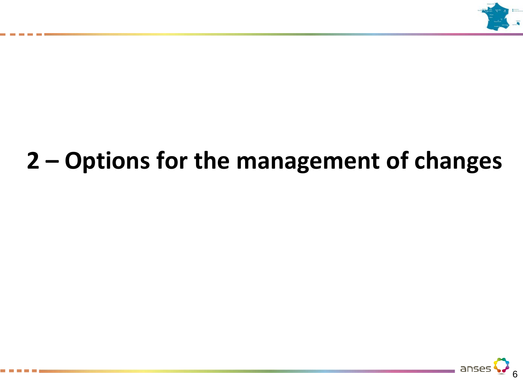

# **2 – Options for the management of changes**

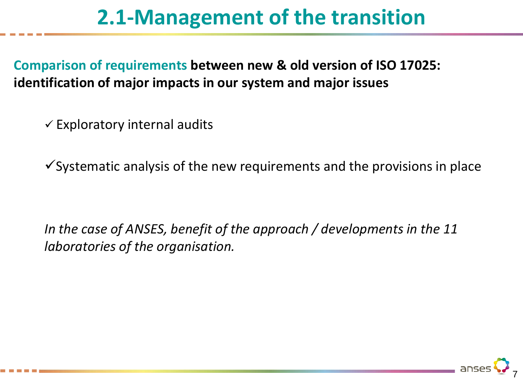### **2.1-Management of the transition**

**Comparison of requirements between new & old version of ISO 17025: identification of major impacts in our system and major issues** 

 $\checkmark$  Exploratory internal audits

 $\checkmark$  Systematic analysis of the new requirements and the provisions in place

*In the case of ANSES, benefit of the approach / developments in the 11 laboratories of the organisation.*

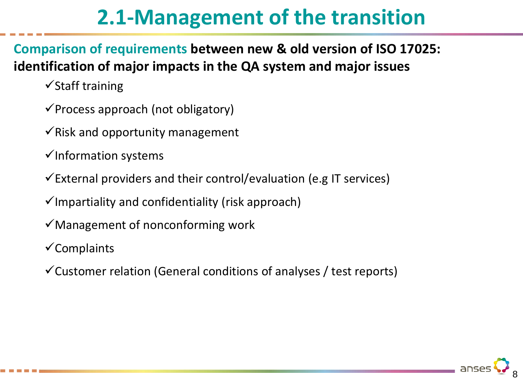### **2.1-Management of the transition**

**Comparison of requirements between new & old version of ISO 17025: identification of major impacts in the QA system and major issues** 

 $\checkmark$ Staff training

- $\checkmark$  Process approach (not obligatory)
- $\checkmark$  Risk and opportunity management
- $\checkmark$ Information systems
- $\checkmark$  External providers and their control/evaluation (e.g IT services)

 $\checkmark$ Impartiality and confidentiality (risk approach)

- $\checkmark$  Management of nonconforming work
- $\checkmark$  Complaints
- $\checkmark$  Customer relation (General conditions of analyses / test reports)

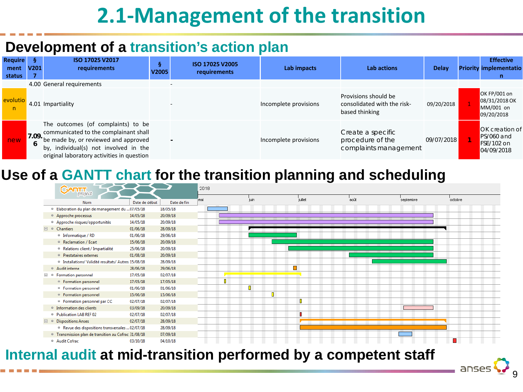### **2.1-Management of the transition**

#### **Development of a transition's action plan**

| <b>Require</b><br>ment<br>status | -S.<br>V <sub>201</sub> | ISO 17025 V2017<br>requirements                                                                                                                                                                            | Q<br>V2005 | ISO 17025 V2005<br>requirements | Lab impacts           | <b>Lab actions</b>                                                    | Delay      | <b>Effective</b><br><b>Priority implementatio</b><br>n          |
|----------------------------------|-------------------------|------------------------------------------------------------------------------------------------------------------------------------------------------------------------------------------------------------|------------|---------------------------------|-----------------------|-----------------------------------------------------------------------|------------|-----------------------------------------------------------------|
|                                  |                         | 4.00 General requirements                                                                                                                                                                                  |            |                                 |                       |                                                                       |            |                                                                 |
| evolutio<br>n                    |                         | 4.01 Impartiality                                                                                                                                                                                          |            |                                 | Incomplete provisions | Provisions should be<br>consolidated with the risk-<br>based thinking | 09/20/2018 | OK FP/001 on<br>08/31/2018 OK<br>MM/001 on<br>09/20/2018        |
| new                              | 7.09.<br>6              | The outcomes (of complaints) to be<br>communicated to the complainant shall<br>be made by, or reviewed and approved<br>by, individual(s) not involved in the<br>original laboratory activities in question |            |                                 | Incomplete provisions | Create a specific<br>procedure of the<br>complaints management        | 09/07/2018 | <b>OK</b> creation of<br>PS/060 and<br>FSE/102 on<br>04/09/2018 |

#### **Use of a GANTT chart for the transition planning and scheduling**



#### **Internal audit at mid-transition performed by a competent staff**

9

anses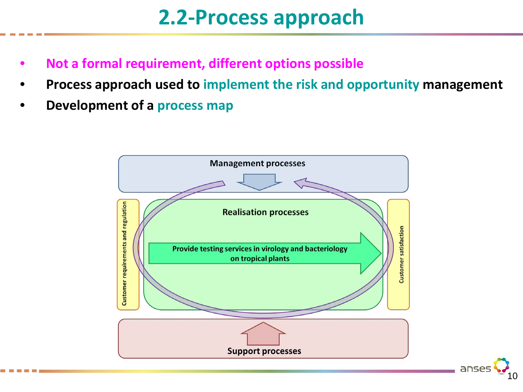### **2.2-Process approach**

- **Not a formal requirement, different options possible**
- **Process approach used to implement the risk and opportunity management**
- **Development of a process map**



anse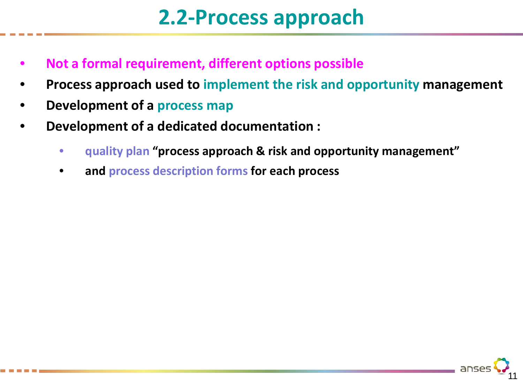### **2.2-Process approach**

- **Not a formal requirement, different options possible**
- **Process approach used to implement the risk and opportunity management**
- **Development of a process map**
- **Development of a dedicated documentation :**
	- **quality plan "process approach & risk and opportunity management"**
	- **and process description forms for each process**

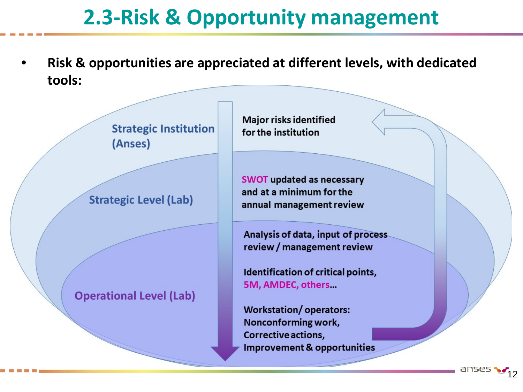### **2.3-Risk & Opportunity management**

• **Risk & opportunities are appreciated at different levels, with dedicated tools:**

> **Strategic Institution** (Anses)

**Strategic Level (Lab)** 

**Operational Level (Lab)** 

**Major risks identified** for the institution

**SWOT updated as necessary** and at a minimum for the annual management review

Analysis of data, input of process review / management review

Identification of critical points, 5M, AMDEC, others...

**Workstation/operators:** Nonconforming work, Corrective actions, **Improvement & opportunities** 

12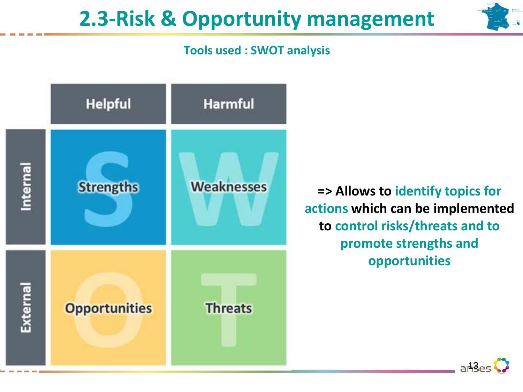### **2.3-Risk & Opportunity management**

#### **Tools used : SWOT analysis**



**=> Allows to identify topics for actions which can be implemented to control risks/threats and to promote strengths and opportunities**

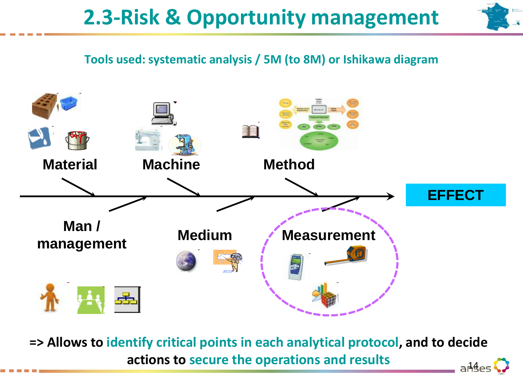### **2.3-Risk & Opportunity management**



#### **Tools used: systematic analysis / 5M (to 8M) or Ishikawa diagram**



**=> Allows to identify critical points in each analytical protocol, and to decide actions to secure the operations and results** and a Ages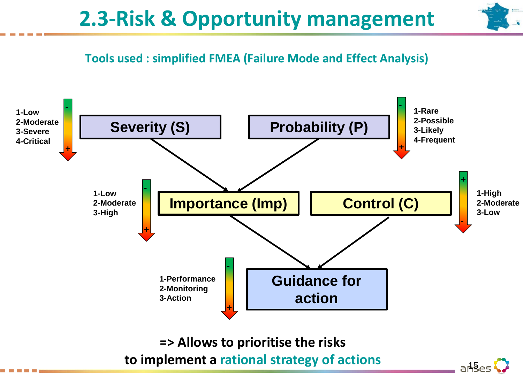

#### **Tools used : simplified FMEA (Failure Mode and Effect Analysis)**



**=> Allows to prioritise the risks**  to implement a rational strategy of actions a have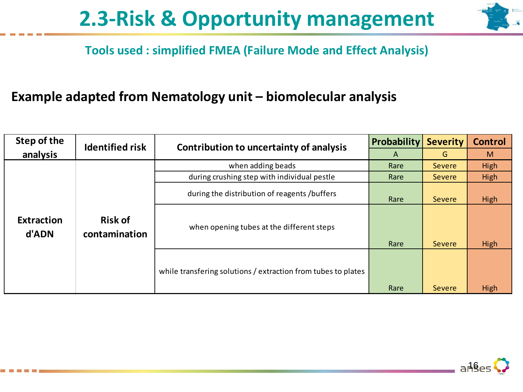

#### **Tools used : simplified FMEA (Failure Mode and Effect Analysis)**

#### **Example adapted from Nematology unit – biomolecular analysis**

| Step of the                | <b>Identified risk</b>          | Contribution to uncertainty of analysis                       | Probability | <b>Severity</b> | <b>Control</b> |
|----------------------------|---------------------------------|---------------------------------------------------------------|-------------|-----------------|----------------|
| analysis                   |                                 |                                                               | A           | G               | M              |
|                            |                                 | when adding beads                                             | Rare        | <b>Severe</b>   | High           |
|                            |                                 | during crushing step with individual pestle                   | Rare        | <b>Severe</b>   | High           |
|                            |                                 | during the distribution of reagents /buffers                  | Rare        | Severe          | High           |
| <b>Extraction</b><br>d'ADN | <b>Risk of</b><br>contamination | when opening tubes at the different steps                     | Rare        | Severe          | High           |
|                            |                                 | while transfering solutions / extraction from tubes to plates | Rare        | <b>Severe</b>   | High           |

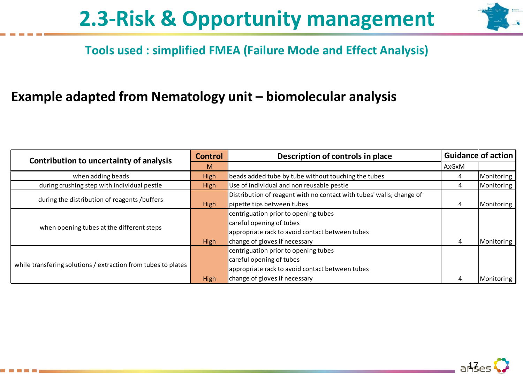

#### **Tools used : simplified FMEA (Failure Mode and Effect Analysis)**

#### **Example adapted from Nematology unit – biomolecular analysis**

| Contribution to uncertainty of analysis                       | <b>Control</b> | Description of controls in place                                     |       | <b>Guidance of action</b> |  |
|---------------------------------------------------------------|----------------|----------------------------------------------------------------------|-------|---------------------------|--|
|                                                               | M              |                                                                      | AxGxM |                           |  |
| when adding beads                                             | High           | beads added tube by tube without touching the tubes                  | 4     | Monitoring                |  |
| during crushing step with individual pestle                   | High           | Use of individual and non reusable pestle                            | 4     | Monitoring                |  |
| during the distribution of reagents /buffers                  |                | Distribution of reagent with no contact with tubes' walls; change of |       |                           |  |
|                                                               | High           | pipette tips between tubes                                           | 4     | Monitoring                |  |
|                                                               |                | centriguation prior to opening tubes                                 |       |                           |  |
|                                                               |                | careful opening of tubes                                             |       |                           |  |
| when opening tubes at the different steps                     |                | appropriate rack to avoid contact between tubes                      |       |                           |  |
|                                                               | High           | change of gloves if necessary                                        | 4     | Monitoring                |  |
|                                                               |                | centriguation prior to opening tubes                                 |       |                           |  |
|                                                               |                | careful opening of tubes                                             |       |                           |  |
| while transfering solutions / extraction from tubes to plates |                | appropriate rack to avoid contact between tubes                      |       |                           |  |
|                                                               | High           | change of gloves if necessary                                        |       | Monitoring                |  |

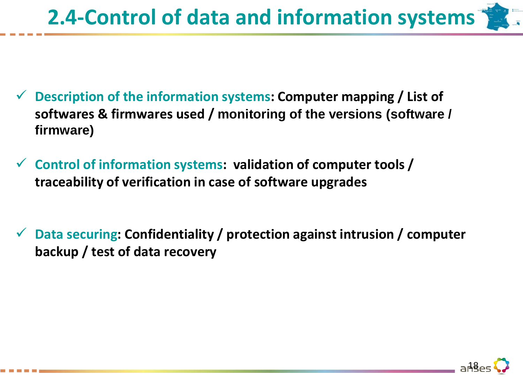# **2.4-Control of data and information systems**

- **Description of the information systems: Computer mapping / List of softwares & firmwares used / monitoring of the versions (software / firmware)**
- **Control of information systems: validation of computer tools / traceability of verification in case of software upgrades**
- **Data securing: Confidentiality / protection against intrusion / computer backup / test of data recovery**

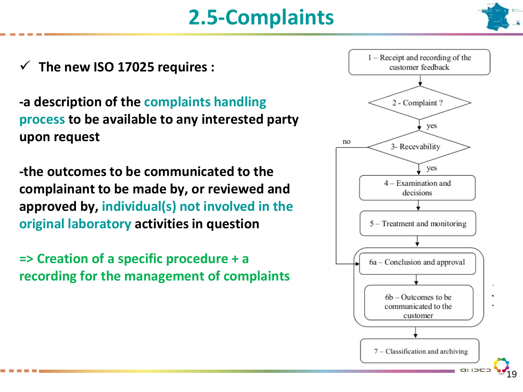## **2.5-Complaints**



19

**The new ISO 17025 requires :** 

**-a description of the complaints handling process to be available to any interested party upon request**

**-the outcomes to be communicated to the complainant to be made by, or reviewed and approved by, individual(s) not involved in the original laboratory activities in question**

**=> Creation of a specific procedure + a recording for the management of complaints**

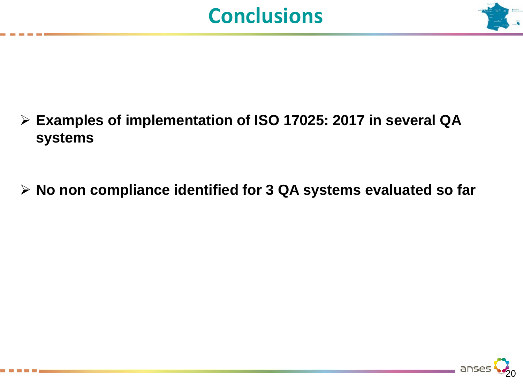



- **Examples of implementation of ISO 17025: 2017 in several QA systems**
- **No non compliance identified for 3 QA systems evaluated so far**